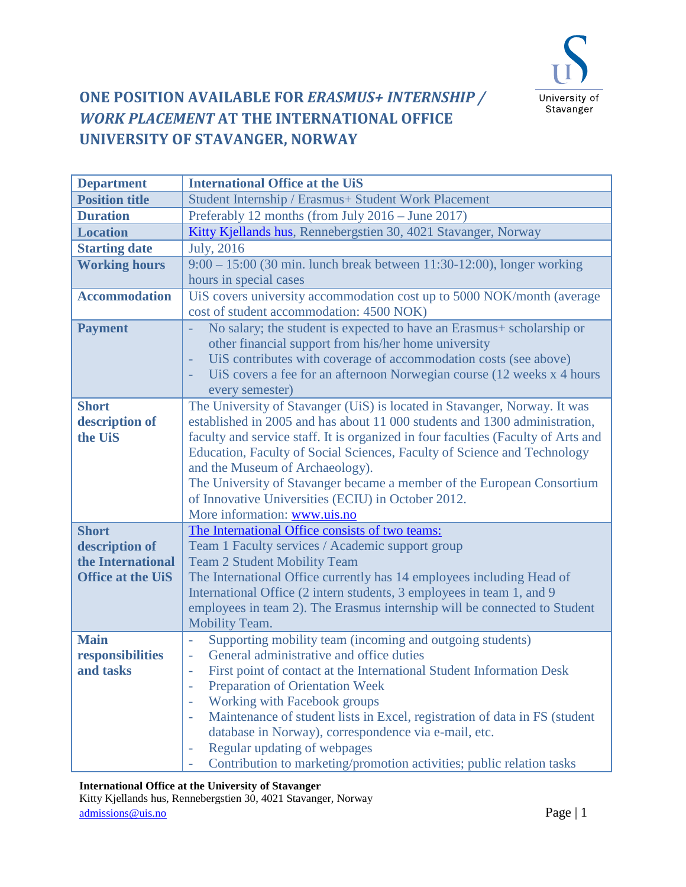

## **ONE POSITION AVAILABLE FOR** *ERASMUS+ INTERNSHIP / WORK PLACEMENT* **AT THE INTERNATIONAL OFFICE UNIVERSITY OF STAVANGER, NORWAY**

| <b>Department</b>                   | <b>International Office at the UiS</b>                                                                 |
|-------------------------------------|--------------------------------------------------------------------------------------------------------|
| <b>Position title</b>               | Student Internship / Erasmus+ Student Work Placement                                                   |
| <b>Duration</b>                     | Preferably 12 months (from July 2016 – June 2017)                                                      |
| <b>Location</b>                     | Kitty Kjellands hus, Rennebergstien 30, 4021 Stavanger, Norway                                         |
| <b>Starting date</b>                | <b>July</b> , 2016                                                                                     |
| <b>Working hours</b>                | 9:00 - 15:00 (30 min. lunch break between 11:30-12:00), longer working                                 |
|                                     | hours in special cases                                                                                 |
| <b>Accommodation</b>                | UiS covers university accommodation cost up to 5000 NOK/month (average                                 |
|                                     | cost of student accommodation: 4500 NOK)                                                               |
| <b>Payment</b>                      | No salary; the student is expected to have an Erasmus+ scholarship or                                  |
|                                     | other financial support from his/her home university                                                   |
|                                     | UiS contributes with coverage of accommodation costs (see above)<br>÷,                                 |
|                                     | UiS covers a fee for an afternoon Norwegian course (12 weeks x 4 hours<br>÷                            |
|                                     | every semester)                                                                                        |
| <b>Short</b>                        | The University of Stavanger (UiS) is located in Stavanger, Norway. It was                              |
| description of                      | established in 2005 and has about 11 000 students and 1300 administration,                             |
| the UiS                             | faculty and service staff. It is organized in four faculties (Faculty of Arts and                      |
|                                     | Education, Faculty of Social Sciences, Faculty of Science and Technology                               |
|                                     | and the Museum of Archaeology).                                                                        |
|                                     | The University of Stavanger became a member of the European Consortium                                 |
|                                     | of Innovative Universities (ECIU) in October 2012.                                                     |
|                                     | More information: www.uis.no                                                                           |
| <b>Short</b>                        | The International Office consists of two teams:                                                        |
| description of<br>the International | Team 1 Faculty services / Academic support group<br><b>Team 2 Student Mobility Team</b>                |
| <b>Office at the UiS</b>            | The International Office currently has 14 employees including Head of                                  |
|                                     | International Office (2 intern students, 3 employees in team 1, and 9                                  |
|                                     | employees in team 2). The Erasmus internship will be connected to Student                              |
|                                     | Mobility Team.                                                                                         |
| <b>Main</b>                         | Supporting mobility team (incoming and outgoing students)<br>÷,                                        |
| responsibilities                    | General administrative and office duties                                                               |
| and tasks                           | First point of contact at the International Student Information Desk<br>÷                              |
|                                     | <b>Preparation of Orientation Week</b>                                                                 |
|                                     | Working with Facebook groups<br>$\overline{\phantom{a}}$                                               |
|                                     | Maintenance of student lists in Excel, registration of data in FS (student<br>$\overline{\phantom{a}}$ |
|                                     | database in Norway), correspondence via e-mail, etc.                                                   |
|                                     | Regular updating of webpages<br>÷                                                                      |
|                                     | Contribution to marketing/promotion activities; public relation tasks                                  |

## **International Office at the University of Stavanger**

Kitty Kjellands hus, Rennebergstien 30, 4021 Stavanger, Norway admissions @uis.no Page | 1